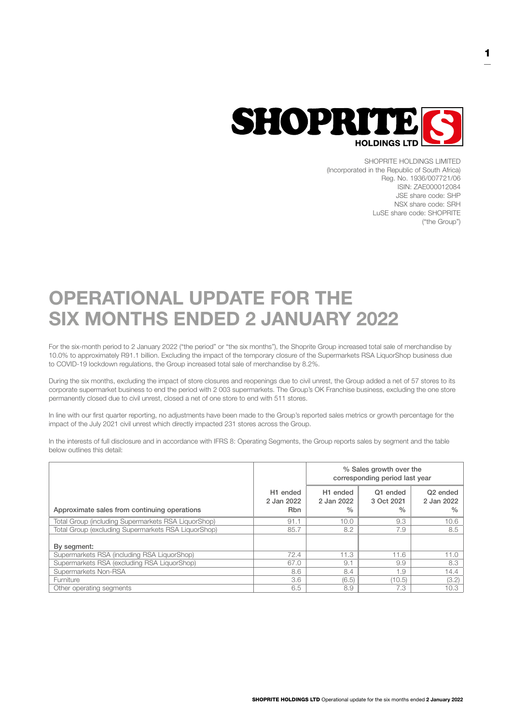

SHOPRITE HOLDINGS LIMITED (Incorporated in the Republic of South Africa) Reg. No. 1936/007721/06 ISIN: ZAE000012084 JSE share code: SHP NSX share code: SRH LuSE share code: SHOPRITE ("the Group")

# OPERATIONAL UPDATE FOR THE SIX MONTHS ENDED 2 JANUARY 2022

For the six-month period to 2 January 2022 ("the period" or "the six months"), the Shoprite Group increased total sale of merchandise by 10.0% to approximately R91.1 billion. Excluding the impact of the temporary closure of the Supermarkets RSA LiquorShop business due to COVID-19 lockdown regulations, the Group increased total sale of merchandise by 8.2%.

During the six months, excluding the impact of store closures and reopenings due to civil unrest, the Group added a net of 57 stores to its corporate supermarket business to end the period with 2 003 supermarkets. The Group's OK Franchise business, excluding the one store permanently closed due to civil unrest, closed a net of one store to end with 511 stores.

In line with our first quarter reporting, no adjustments have been made to the Group's reported sales metrics or growth percentage for the impact of the July 2021 civil unrest which directly impacted 231 stores across the Group.

In the interests of full disclosure and in accordance with IFRS 8: Operating Segments, the Group reports sales by segment and the table below outlines this detail:

|                                                     |                                                  | % Sales growth over the<br>corresponding period last year |                                |                                                     |
|-----------------------------------------------------|--------------------------------------------------|-----------------------------------------------------------|--------------------------------|-----------------------------------------------------|
| Approximate sales from continuing operations        | H <sub>1</sub> ended<br>2 Jan 2022<br><b>Rbn</b> | H <sub>1</sub> ended<br>2 Jan 2022<br>$\%$                | Q1 ended<br>3 Oct 2021<br>$\%$ | Q <sub>2</sub> ended<br>2 Jan 2022<br>$\frac{0}{0}$ |
| Total Group (including Supermarkets RSA LiguorShop) | 91.1                                             | 10.0                                                      | 9.3                            | 10.6                                                |
| Total Group (excluding Supermarkets RSA LiquorShop) | 85.7                                             | 8.2                                                       | 7.9                            | 8.5                                                 |
| By segment:                                         |                                                  |                                                           |                                |                                                     |
| Supermarkets RSA (including RSA LiquorShop)         | 72.4                                             | 11.3                                                      | 11.6                           | 11.0                                                |
| Supermarkets RSA (excluding RSA LiquorShop)         | 67.0                                             | 9.1                                                       | 9.9                            | 8.3                                                 |
| Supermarkets Non-RSA                                | 8.6                                              | 8.4                                                       | 1.9                            | 14.4                                                |
| Furniture                                           | 3.6                                              | (6.5)                                                     | (10.5)                         | (3.2)                                               |
| Other operating segments                            | 6.5                                              | 8.9                                                       | 7.3                            | 10.3                                                |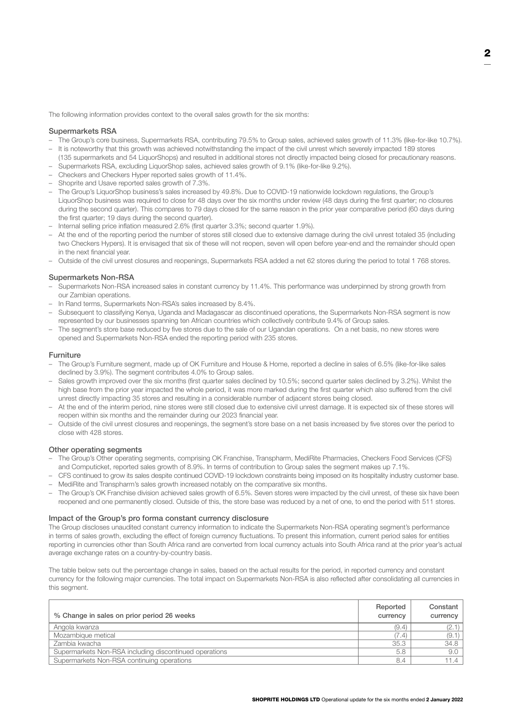The following information provides context to the overall sales growth for the six months:

## Supermarkets RSA

- The Group's core business, Supermarkets RSA, contributing 79.5% to Group sales, achieved sales growth of 11.3% (like-for-like 10.7%).
- It is noteworthy that this growth was achieved notwithstanding the impact of the civil unrest which severely impacted 189 stores (135 supermarkets and 54 LiquorShops) and resulted in additional stores not directly impacted being closed for precautionary reasons.
- Supermarkets RSA, excluding LiquorShop sales, achieved sales growth of 9.1% (like-for-like 9.2%).
- Checkers and Checkers Hyper reported sales growth of 11.4%.
- Shoprite and Usave reported sales growth of 7.3%.
- The Group's LiquorShop business's sales increased by 49.8%. Due to COVID-19 nationwide lockdown regulations, the Group's LiquorShop business was required to close for 48 days over the six months under review (48 days during the first quarter; no closures during the second quarter). This compares to 79 days closed for the same reason in the prior year comparative period (60 days during the first quarter; 19 days during the second quarter).
- Internal selling price inflation measured 2.6% (first quarter 3.3%; second quarter 1.9%).
- At the end of the reporting period the number of stores still closed due to extensive damage during the civil unrest totaled 35 (including two Checkers Hypers). It is envisaged that six of these will not reopen, seven will open before year-end and the remainder should open in the next financial year.
- Outside of the civil unrest closures and reopenings, Supermarkets RSA added a net 62 stores during the period to total 1 768 stores.

## Supermarkets Non-RSA

- Supermarkets Non-RSA increased sales in constant currency by 11.4%. This performance was underpinned by strong growth from our Zambian operations.
- In Rand terms, Supermarkets Non-RSA's sales increased by 8.4%.
- Subsequent to classifying Kenya, Uganda and Madagascar as discontinued operations, the Supermarkets Non-RSA segment is now represented by our businesses spanning ten African countries which collectively contribute 9.4% of Group sales.
- The segment's store base reduced by five stores due to the sale of our Ugandan operations. On a net basis, no new stores were opened and Supermarkets Non-RSA ended the reporting period with 235 stores.

### Furniture

- The Group's Furniture segment, made up of OK Furniture and House & Home, reported a decline in sales of 6.5% (like-for-like sales declined by 3.9%). The segment contributes 4.0% to Group sales.
- Sales growth improved over the six months (first quarter sales declined by 10.5%; second quarter sales declined by 3.2%). Whilst the high base from the prior year impacted the whole period, it was more marked during the first quarter which also suffered from the civil unrest directly impacting 35 stores and resulting in a considerable number of adjacent stores being closed.
- At the end of the interim period, nine stores were still closed due to extensive civil unrest damage. It is expected six of these stores will reopen within six months and the remainder during our 2023 financial year.
- Outside of the civil unrest closures and reopenings, the segment's store base on a net basis increased by five stores over the period to close with 428 stores.

### Other operating segments

- The Group's Other operating segments, comprising OK Franchise, Transpharm, MediRite Pharmacies, Checkers Food Services (CFS) and Computicket, reported sales growth of 8.9%. In terms of contribution to Group sales the segment makes up 7.1%.
- CFS continued to grow its sales despite continued COVID-19 lockdown constraints being imposed on its hospitality industry customer base. – MediRite and Transpharm's sales growth increased notably on the comparative six months.
- The Group's OK Franchise division achieved sales growth of 6.5%. Seven stores were impacted by the civil unrest, of these six have been reopened and one permanently closed. Outside of this, the store base was reduced by a net of one, to end the period with 511 stores.

### Impact of the Group's pro forma constant currency disclosure

The Group discloses unaudited constant currency information to indicate the Supermarkets Non-RSA operating segment's performance in terms of sales growth, excluding the effect of foreign currency fluctuations. To present this information, current period sales for entities reporting in currencies other than South Africa rand are converted from local currency actuals into South Africa rand at the prior year's actual average exchange rates on a country-by-country basis.

The table below sets out the percentage change in sales, based on the actual results for the period, in reported currency and constant currency for the following major currencies. The total impact on Supermarkets Non-RSA is also reflected after consolidating all currencies in this segment.

| % Change in sales on prior period 26 weeks             | Reported<br>currency | Constant<br>currency |
|--------------------------------------------------------|----------------------|----------------------|
| Angola kwanza                                          | (9.4)                | (2.1)                |
| Mozambique metical                                     | (7.4)                | (9.1)                |
| Zambia kwacha                                          | 35.3                 | 34.8                 |
| Supermarkets Non-RSA including discontinued operations | 5.8                  | 9.0                  |
| Supermarkets Non-RSA continuing operations             | 8.4                  | 11.4                 |